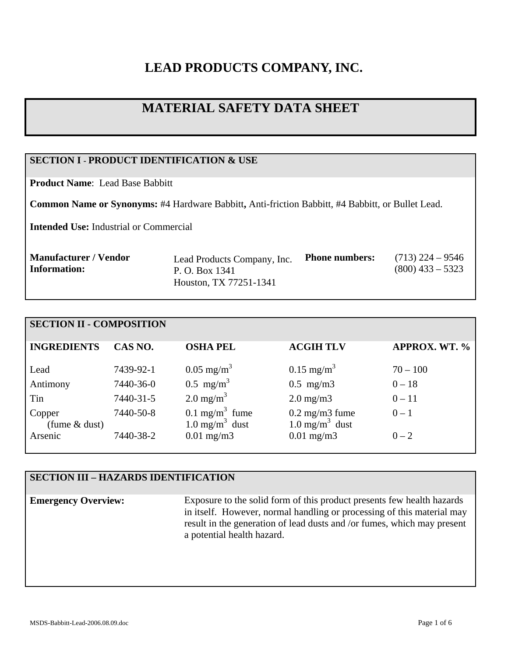# **LEAD PRODUCTS COMPANY, INC.**

# **MATERIAL SAFETY DATA SHEET**

# **SECTION I - PRODUCT IDENTIFICATION & USE**

**Product Name**: Lead Base Babbitt

**Common Name or Synonyms:** #4 Hardware Babbitt**,** Anti-friction Babbitt, #4 Babbitt, or Bullet Lead.

**Intended Use:** Industrial or Commercial

| <b>Manufacturer / Vendor</b> | Lead Products Company, Inc. | <b>Phone numbers:</b> | $(713)$ 224 – 9546 |
|------------------------------|-----------------------------|-----------------------|--------------------|
| Information:                 | P. O. Box 1341              |                       | $(800)$ 433 – 5323 |
|                              | Houston, TX 77251-1341      |                       |                    |

# **SECTION II - COMPOSITION**

| <b>INGREDIENTS</b>        | CAS NO.   | <b>OSHA PEL</b>                                           | <b>ACGIH TLV</b>                                        | <b>APPROX. WT. %</b> |
|---------------------------|-----------|-----------------------------------------------------------|---------------------------------------------------------|----------------------|
|                           |           |                                                           |                                                         |                      |
| Lead                      | 7439-92-1 | $0.05 \text{ mg/m}^3$                                     | $0.15 \text{ mg/m}^3$                                   | $70 - 100$           |
| Antimony                  | 7440-36-0 | $0.5 \text{ mg/m}^3$                                      | $0.5$ mg/m $3$                                          | $0 - 18$             |
| Tin                       | 7440-31-5 | 2.0 mg/m <sup>3</sup>                                     | $2.0 \text{ mg/m}$                                      | $0 - 11$             |
| Copper<br>(fume $&$ dust) | 7440-50-8 | $0.1 \text{ mg/m}^3$ fume<br>$1.0$ mg/m <sup>3</sup> dust | $0.2 \text{ mg/m}$ 3 fume<br>1.0 mg/m <sup>3</sup> dust | $0 - 1$              |
| Arsenic                   | 7440-38-2 | $0.01$ mg/m $3$                                           | $0.01$ mg/m3                                            | $0 - 2$              |

# **SECTION III – HAZARDS IDENTIFICATION**

**Emergency Overview:** Exposure to the solid form of this product presents few health hazards in itself. However, normal handling or processing of this material may result in the generation of lead dusts and /or fumes, which may present a potential health hazard.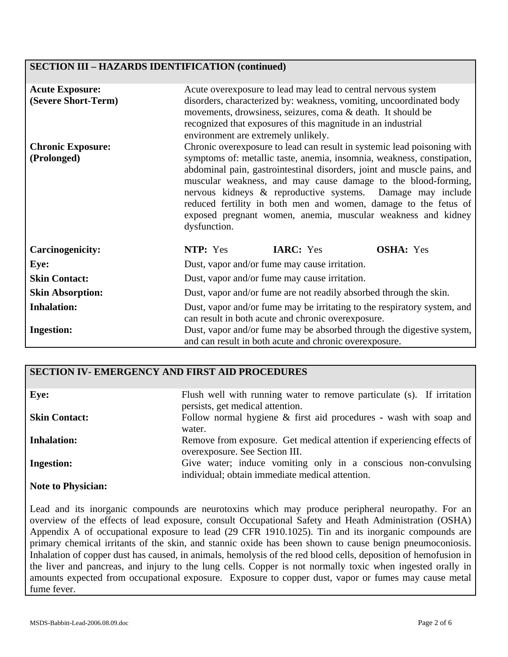## **SECTION III – HAZARDS IDENTIFICATION (continued)**

| <b>Acute Exposure:</b><br>(Severe Short-Term) | Acute overexposure to lead may lead to central nervous system<br>disorders, characterized by: weakness, vomiting, uncoordinated body<br>movements, drowsiness, seizures, coma & death. It should be<br>recognized that exposures of this magnitude in an industrial<br>environment are extremely unlikely.                                                                                                                                                                                                     |  |  |
|-----------------------------------------------|----------------------------------------------------------------------------------------------------------------------------------------------------------------------------------------------------------------------------------------------------------------------------------------------------------------------------------------------------------------------------------------------------------------------------------------------------------------------------------------------------------------|--|--|
| <b>Chronic Exposure:</b><br>(Prolonged)       | Chronic overexposure to lead can result in systemic lead poisoning with<br>symptoms of: metallic taste, anemia, insomnia, weakness, constipation,<br>abdominal pain, gastrointestinal disorders, joint and muscle pains, and<br>muscular weakness, and may cause damage to the blood-forming,<br>nervous kidneys & reproductive systems. Damage may include<br>reduced fertility in both men and women, damage to the fetus of<br>exposed pregnant women, anemia, muscular weakness and kidney<br>dysfunction. |  |  |
| <b>Carcinogenicity:</b>                       | NTP: Yes<br><b>IARC:</b> Yes<br><b>OSHA:</b> Yes                                                                                                                                                                                                                                                                                                                                                                                                                                                               |  |  |
| Eye:                                          | Dust, vapor and/or fume may cause irritation.                                                                                                                                                                                                                                                                                                                                                                                                                                                                  |  |  |
| <b>Skin Contact:</b>                          | Dust, vapor and/or fume may cause irritation.                                                                                                                                                                                                                                                                                                                                                                                                                                                                  |  |  |
| <b>Skin Absorption:</b>                       | Dust, vapor and/or fume are not readily absorbed through the skin.                                                                                                                                                                                                                                                                                                                                                                                                                                             |  |  |
| <b>Inhalation:</b>                            | Dust, vapor and/or fume may be irritating to the respiratory system, and<br>can result in both acute and chronic overexposure.                                                                                                                                                                                                                                                                                                                                                                                 |  |  |
| <b>Ingestion:</b>                             | Dust, vapor and/or fume may be absorbed through the digestive system,<br>and can result in both acute and chronic overexposure.                                                                                                                                                                                                                                                                                                                                                                                |  |  |

## **SECTION IV- EMERGENCY AND FIRST AID PROCEDURES**

| Eye:                      | Flush well with running water to remove particulate (s). If irritation<br>persists, get medical attention.        |
|---------------------------|-------------------------------------------------------------------------------------------------------------------|
| <b>Skin Contact:</b>      | Follow normal hygiene $\&$ first aid procedures - wash with soap and<br>water.                                    |
| <b>Inhalation:</b>        | Remove from exposure. Get medical attention if experiencing effects of<br>overexposure. See Section III.          |
| <b>Ingestion:</b>         | Give water; induce vomiting only in a conscious non-convulsing<br>individual; obtain immediate medical attention. |
| <b>Note to Physician:</b> |                                                                                                                   |

Lead and its inorganic compounds are neurotoxins which may produce peripheral neuropathy. For an overview of the effects of lead exposure, consult Occupational Safety and Heath Administration (OSHA) Appendix A of occupational exposure to lead (29 CFR 1910.1025). Tin and its inorganic compounds are primary chemical irritants of the skin, and stannic oxide has been shown to cause benign pneumoconiosis. Inhalation of copper dust has caused, in animals, hemolysis of the red blood cells, deposition of hemofusion in the liver and pancreas, and injury to the lung cells. Copper is not normally toxic when ingested orally in amounts expected from occupational exposure. Exposure to copper dust, vapor or fumes may cause metal fume fever.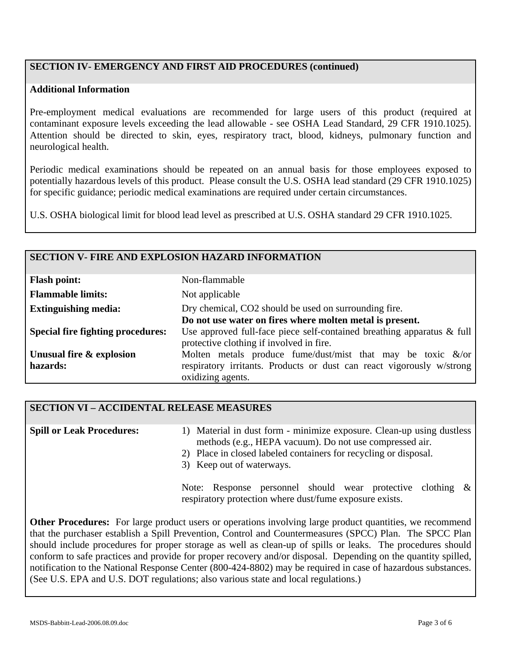# **SECTION IV- EMERGENCY AND FIRST AID PROCEDURES (continued)**

#### **Additional Information**

Pre-employment medical evaluations are recommended for large users of this product (required at contaminant exposure levels exceeding the lead allowable - see OSHA Lead Standard, 29 CFR 1910.1025). Attention should be directed to skin, eyes, respiratory tract, blood, kidneys, pulmonary function and neurological health.

Periodic medical examinations should be repeated on an annual basis for those employees exposed to potentially hazardous levels of this product. Please consult the U.S. OSHA lead standard (29 CFR 1910.1025) for specific guidance; periodic medical examinations are required under certain circumstances.

U.S. OSHA biological limit for blood lead level as prescribed at U.S. OSHA standard 29 CFR 1910.1025.

#### **SECTION V- FIRE AND EXPLOSION HAZARD INFORMATION**

| <b>Flash point:</b>                      | Non-flammable                                                                                                         |
|------------------------------------------|-----------------------------------------------------------------------------------------------------------------------|
| <b>Flammable limits:</b>                 | Not applicable                                                                                                        |
| <b>Extinguishing media:</b>              | Dry chemical, CO2 should be used on surrounding fire.                                                                 |
|                                          | Do not use water on fires where molten metal is present.                                                              |
| <b>Special fire fighting procedures:</b> | Use approved full-face piece self-contained breathing apparatus $\&$ full<br>protective clothing if involved in fire. |
| Unusual fire & explosion                 | Molten metals produce fume/dust/mist that may be toxic $\&$ /or                                                       |
| hazards:                                 | respiratory irritants. Products or dust can react vigorously w/strong                                                 |
|                                          | oxidizing agents.                                                                                                     |

# **SECTION VI – ACCIDENTAL RELEASE MEASURES**

| <b>Spill or Leak Procedures:</b> | 1) Material in dust form - minimize exposure. Clean-up using dustless                         |  |  |  |
|----------------------------------|-----------------------------------------------------------------------------------------------|--|--|--|
|                                  | methods (e.g., HEPA vacuum). Do not use compressed air.                                       |  |  |  |
|                                  | 2) Place in closed labeled containers for recycling or disposal.<br>3) Keep out of waterways. |  |  |  |
|                                  | Response personnel should wear protective clothing $\&$<br>Note:                              |  |  |  |

respiratory protection where dust/fume exposure exists.

**Other Procedures:** For large product users or operations involving large product quantities, we recommend that the purchaser establish a Spill Prevention, Control and Countermeasures (SPCC) Plan. The SPCC Plan should include procedures for proper storage as well as clean-up of spills or leaks. The procedures should conform to safe practices and provide for proper recovery and/or disposal. Depending on the quantity spilled, notification to the National Response Center (800-424-8802) may be required in case of hazardous substances. (See U.S. EPA and U.S. DOT regulations; also various state and local regulations.)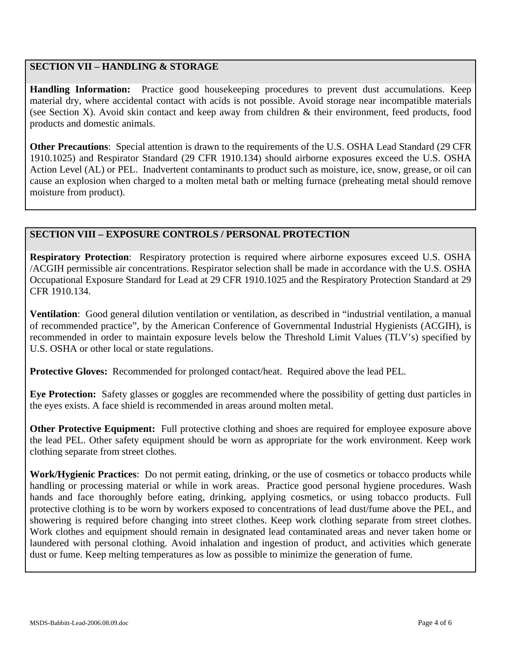# **SECTION VII – HANDLING & STORAGE**

**Handling Information:** Practice good housekeeping procedures to prevent dust accumulations. Keep material dry, where accidental contact with acids is not possible. Avoid storage near incompatible materials (see Section X). Avoid skin contact and keep away from children & their environment, feed products, food products and domestic animals.

**Other Precautions**: Special attention is drawn to the requirements of the U.S. OSHA Lead Standard (29 CFR 1910.1025) and Respirator Standard (29 CFR 1910.134) should airborne exposures exceed the U.S. OSHA Action Level (AL) or PEL. Inadvertent contaminants to product such as moisture, ice, snow, grease, or oil can cause an explosion when charged to a molten metal bath or melting furnace (preheating metal should remove moisture from product).

## **SECTION VIII – EXPOSURE CONTROLS / PERSONAL PROTECTION**

**Respiratory Protection**: Respiratory protection is required where airborne exposures exceed U.S. OSHA /ACGIH permissible air concentrations. Respirator selection shall be made in accordance with the U.S. OSHA Occupational Exposure Standard for Lead at 29 CFR 1910.1025 and the Respiratory Protection Standard at 29 CFR 1910.134.

**Ventilation**: Good general dilution ventilation or ventilation, as described in "industrial ventilation, a manual of recommended practice", by the American Conference of Governmental Industrial Hygienists (ACGIH), is recommended in order to maintain exposure levels below the Threshold Limit Values (TLV's) specified by U.S. OSHA or other local or state regulations.

**Protective Gloves:** Recommended for prolonged contact/heat. Required above the lead PEL.

**Eye Protection:** Safety glasses or goggles are recommended where the possibility of getting dust particles in the eyes exists. A face shield is recommended in areas around molten metal.

**Other Protective Equipment:** Full protective clothing and shoes are required for employee exposure above the lead PEL. Other safety equipment should be worn as appropriate for the work environment. Keep work clothing separate from street clothes.

**Work/Hygienic Practices**: Do not permit eating, drinking, or the use of cosmetics or tobacco products while handling or processing material or while in work areas. Practice good personal hygiene procedures. Wash hands and face thoroughly before eating, drinking, applying cosmetics, or using tobacco products. Full protective clothing is to be worn by workers exposed to concentrations of lead dust/fume above the PEL, and showering is required before changing into street clothes. Keep work clothing separate from street clothes. Work clothes and equipment should remain in designated lead contaminated areas and never taken home or laundered with personal clothing. Avoid inhalation and ingestion of product, and activities which generate dust or fume. Keep melting temperatures as low as possible to minimize the generation of fume.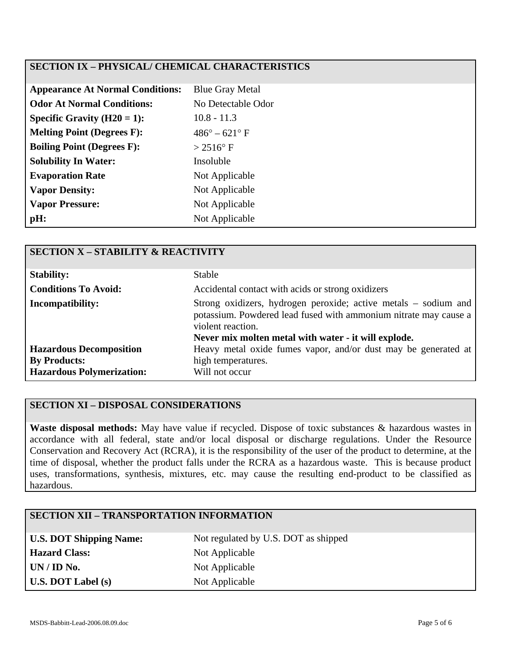## **SECTION IX – PHYSICAL/ CHEMICAL CHARACTERISTICS**

| <b>Appearance At Normal Conditions:</b> | <b>Blue Gray Metal</b>        |
|-----------------------------------------|-------------------------------|
| <b>Odor At Normal Conditions:</b>       | No Detectable Odor            |
| Specific Gravity $(H20 = 1)$ :          | $10.8 - 11.3$                 |
| <b>Melting Point (Degrees F):</b>       | $486^{\circ} - 621^{\circ}$ F |
| <b>Boiling Point (Degrees F):</b>       | $> 2516$ °F                   |
| <b>Solubility In Water:</b>             | Insoluble                     |
| <b>Evaporation Rate</b>                 | Not Applicable                |
| <b>Vapor Density:</b>                   | Not Applicable                |
| <b>Vapor Pressure:</b>                  | Not Applicable                |
| pH:                                     | Not Applicable                |

| <b>SECTION X - STABILITY &amp; REACTIVITY</b>           |                                                                                                                                                                                                                  |
|---------------------------------------------------------|------------------------------------------------------------------------------------------------------------------------------------------------------------------------------------------------------------------|
| <b>Stability:</b>                                       | <b>Stable</b>                                                                                                                                                                                                    |
| <b>Conditions To Avoid:</b>                             | Accidental contact with acids or strong oxidizers                                                                                                                                                                |
| <b>Incompatibility:</b>                                 | Strong oxidizers, hydrogen peroxide; active metals - sodium and<br>potassium. Powdered lead fused with ammonium nitrate may cause a<br>violent reaction.<br>Never mix molten metal with water - it will explode. |
| <b>Hazardous Decomposition</b>                          | Heavy metal oxide fumes vapor, and/or dust may be generated at                                                                                                                                                   |
| <b>By Products:</b><br><b>Hazardous Polymerization:</b> | high temperatures.<br>Will not occur                                                                                                                                                                             |
|                                                         |                                                                                                                                                                                                                  |

#### **SECTION XI – DISPOSAL CONSIDERATIONS**

**Waste disposal methods:** May have value if recycled. Dispose of toxic substances & hazardous wastes in accordance with all federal, state and/or local disposal or discharge regulations. Under the Resource Conservation and Recovery Act (RCRA), it is the responsibility of the user of the product to determine, at the time of disposal, whether the product falls under the RCRA as a hazardous waste. This is because product uses, transformations, synthesis, mixtures, etc. may cause the resulting end-product to be classified as hazardous.

# **SECTION XII – TRANSPORTATION INFORMATION**

| <b>U.S. DOT Shipping Name:</b> |
|--------------------------------|
| <b>Hazard Class:</b>           |
| UN / ID No.                    |
| $U.S.$ DOT Label $(s)$         |

Not regulated by U.S. DOT as shipped **Not Applicable Not Applicable Not Applicable**